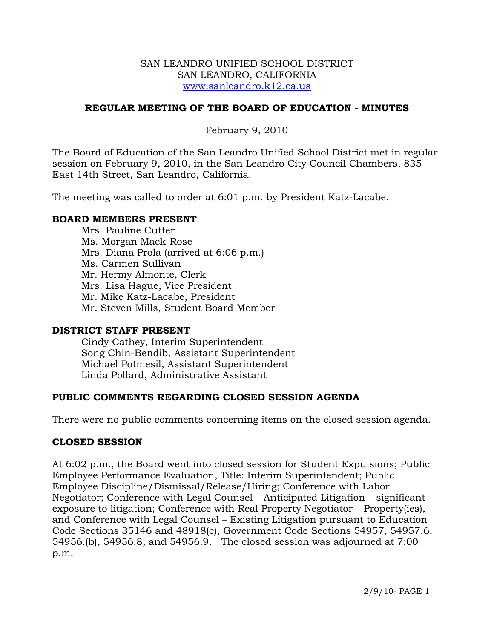#### SAN LEANDRO UNIFIED SCHOOL DISTRICT SAN LEANDRO, CALIFORNIA [www.sanleandro.k12.ca.us](http://www.sanleandro.k12.ca.us/)

### **REGULAR MEETING OF THE BOARD OF EDUCATION - MINUTES**

February 9, 2010

The Board of Education of the San Leandro Unified School District met in regular session on February 9, 2010, in the San Leandro City Council Chambers, 835 East 14th Street, San Leandro, California.

The meeting was called to order at 6:01 p.m. by President Katz-Lacabe.

#### **BOARD MEMBERS PRESENT**

Mrs. Pauline Cutter Ms. Morgan Mack-Rose Mrs. Diana Prola (arrived at 6:06 p.m.) Ms. Carmen Sullivan Mr. Hermy Almonte, Clerk Mrs. Lisa Hague, Vice President Mr. Mike Katz-Lacabe, President Mr. Steven Mills, Student Board Member

#### **DISTRICT STAFF PRESENT**

Cindy Cathey, Interim Superintendent Song Chin-Bendib, Assistant Superintendent Michael Potmesil, Assistant Superintendent Linda Pollard, Administrative Assistant

## **PUBLIC COMMENTS REGARDING CLOSED SESSION AGENDA**

There were no public comments concerning items on the closed session agenda.

#### **CLOSED SESSION**

At 6:02 p.m., the Board went into closed session for Student Expulsions; Public Employee Performance Evaluation, Title: Interim Superintendent; Public Employee Discipline/Dismissal/Release/Hiring; Conference with Labor Negotiator; Conference with Legal Counsel – Anticipated Litigation – significant exposure to litigation; Conference with Real Property Negotiator – Property(ies), and Conference with Legal Counsel – Existing Litigation pursuant to Education Code Sections 35146 and 48918(c), Government Code Sections 54957, 54957.6, 54956.(b), 54956.8, and 54956.9. The closed session was adjourned at 7:00 p.m.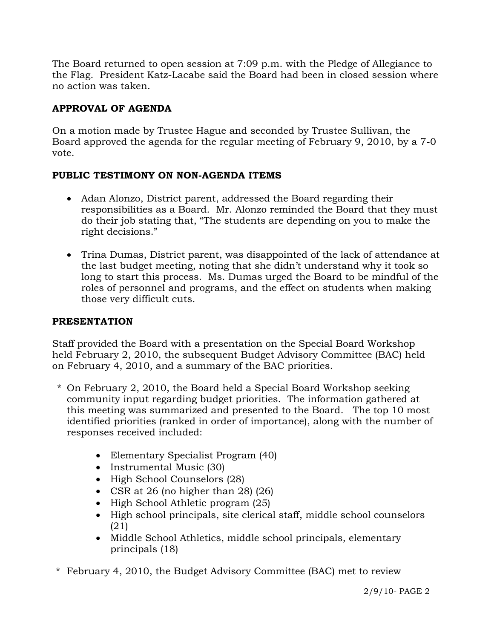The Board returned to open session at 7:09 p.m. with the Pledge of Allegiance to the Flag. President Katz-Lacabe said the Board had been in closed session where no action was taken.

# **APPROVAL OF AGENDA**

On a motion made by Trustee Hague and seconded by Trustee Sullivan, the Board approved the agenda for the regular meeting of February 9, 2010, by a 7-0 vote.

# **PUBLIC TESTIMONY ON NON-AGENDA ITEMS**

- Adan Alonzo, District parent, addressed the Board regarding their responsibilities as a Board. Mr. Alonzo reminded the Board that they must do their job stating that, "The students are depending on you to make the right decisions."
- Trina Dumas, District parent, was disappointed of the lack of attendance at the last budget meeting, noting that she didn't understand why it took so long to start this process. Ms. Dumas urged the Board to be mindful of the roles of personnel and programs, and the effect on students when making those very difficult cuts.

# **PRESENTATION**

Staff provided the Board with a presentation on the Special Board Workshop held February 2, 2010, the subsequent Budget Advisory Committee (BAC) held on February 4, 2010, and a summary of the BAC priorities.

- \* On February 2, 2010, the Board held a Special Board Workshop seeking community input regarding budget priorities. The information gathered at this meeting was summarized and presented to the Board. The top 10 most identified priorities (ranked in order of importance), along with the number of responses received included:
	- Elementary Specialist Program (40)
	- Instrumental Music (30)
	- High School Counselors (28)
	- CSR at 26 (no higher than 28) (26)
	- High School Athletic program (25)
	- High school principals, site clerical staff, middle school counselors (21)
	- Middle School Athletics, middle school principals, elementary principals (18)
- \* February 4, 2010, the Budget Advisory Committee (BAC) met to review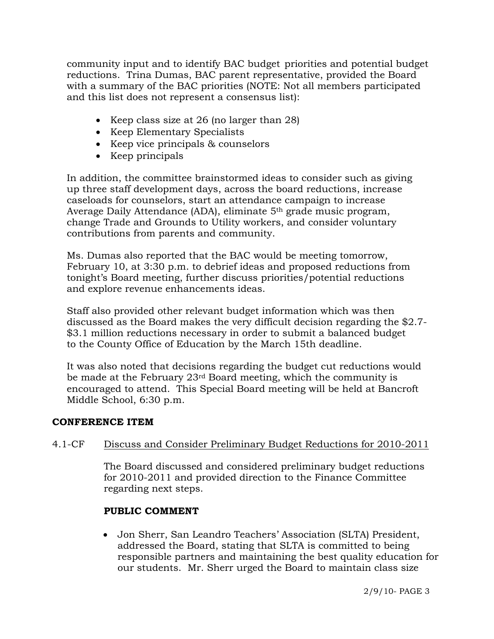community input and to identify BAC budget priorities and potential budget reductions. Trina Dumas, BAC parent representative, provided the Board with a summary of the BAC priorities (NOTE: Not all members participated and this list does not represent a consensus list):

- Keep class size at 26 (no larger than 28)
- Keep Elementary Specialists
- Keep vice principals & counselors
- Keep principals

 In addition, the committee brainstormed ideas to consider such as giving up three staff development days, across the board reductions, increase caseloads for counselors, start an attendance campaign to increase Average Daily Attendance (ADA), eliminate 5th grade music program, change Trade and Grounds to Utility workers, and consider voluntary contributions from parents and community.

 Ms. Dumas also reported that the BAC would be meeting tomorrow, February 10, at 3:30 p.m. to debrief ideas and proposed reductions from tonight's Board meeting, further discuss priorities/potential reductions and explore revenue enhancements ideas.

 Staff also provided other relevant budget information which was then discussed as the Board makes the very difficult decision regarding the \$2.7- \$3.1 million reductions necessary in order to submit a balanced budget to the County Office of Education by the March 15th deadline.

 It was also noted that decisions regarding the budget cut reductions would be made at the February 23rd Board meeting, which the community is encouraged to attend. This Special Board meeting will be held at Bancroft Middle School, 6:30 p.m.

## **CONFERENCE ITEM**

# 4.1-CF Discuss and Consider Preliminary Budget Reductions for 2010-2011

The Board discussed and considered preliminary budget reductions for 2010-2011 and provided direction to the Finance Committee regarding next steps.

# **PUBLIC COMMENT**

• Jon Sherr, San Leandro Teachers' Association (SLTA) President, addressed the Board, stating that SLTA is committed to being responsible partners and maintaining the best quality education for our students. Mr. Sherr urged the Board to maintain class size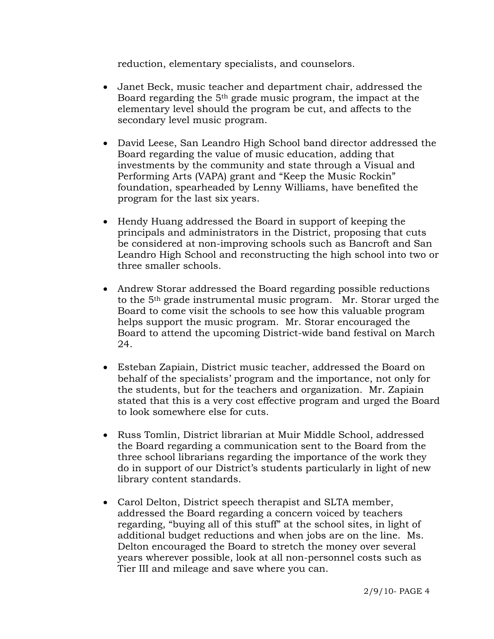reduction, elementary specialists, and counselors.

- Janet Beck, music teacher and department chair, addressed the Board regarding the 5th grade music program, the impact at the elementary level should the program be cut, and affects to the secondary level music program.
- David Leese, San Leandro High School band director addressed the Board regarding the value of music education, adding that investments by the community and state through a Visual and Performing Arts (VAPA) grant and "Keep the Music Rockin" foundation, spearheaded by Lenny Williams, have benefited the program for the last six years.
- Hendy Huang addressed the Board in support of keeping the principals and administrators in the District, proposing that cuts be considered at non-improving schools such as Bancroft and San Leandro High School and reconstructing the high school into two or three smaller schools.
- Andrew Storar addressed the Board regarding possible reductions to the 5th grade instrumental music program. Mr. Storar urged the Board to come visit the schools to see how this valuable program helps support the music program. Mr. Storar encouraged the Board to attend the upcoming District-wide band festival on March 24.
- Esteban Zapiain, District music teacher, addressed the Board on behalf of the specialists' program and the importance, not only for the students, but for the teachers and organization. Mr. Zapiain stated that this is a very cost effective program and urged the Board to look somewhere else for cuts.
- Russ Tomlin, District librarian at Muir Middle School, addressed the Board regarding a communication sent to the Board from the three school librarians regarding the importance of the work they do in support of our District's students particularly in light of new library content standards.
- Carol Delton, District speech therapist and SLTA member, addressed the Board regarding a concern voiced by teachers regarding, "buying all of this stuff" at the school sites, in light of additional budget reductions and when jobs are on the line. Ms. Delton encouraged the Board to stretch the money over several years wherever possible, look at all non-personnel costs such as Tier III and mileage and save where you can.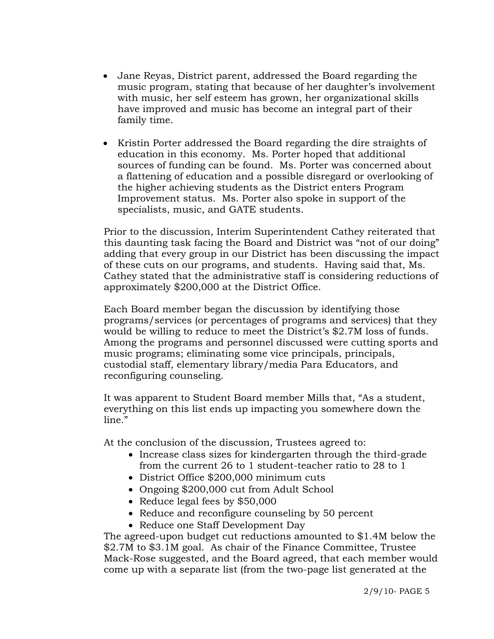- Jane Reyas, District parent, addressed the Board regarding the music program, stating that because of her daughter's involvement with music, her self esteem has grown, her organizational skills have improved and music has become an integral part of their family time.
- Kristin Porter addressed the Board regarding the dire straights of education in this economy. Ms. Porter hoped that additional sources of funding can be found. Ms. Porter was concerned about a flattening of education and a possible disregard or overlooking of the higher achieving students as the District enters Program Improvement status. Ms. Porter also spoke in support of the specialists, music, and GATE students.

Prior to the discussion, Interim Superintendent Cathey reiterated that this daunting task facing the Board and District was "not of our doing" adding that every group in our District has been discussing the impact of these cuts on our programs, and students. Having said that, Ms. Cathey stated that the administrative staff is considering reductions of approximately \$200,000 at the District Office.

Each Board member began the discussion by identifying those programs/services (or percentages of programs and services) that they would be willing to reduce to meet the District's \$2.7M loss of funds. Among the programs and personnel discussed were cutting sports and music programs; eliminating some vice principals, principals, custodial staff, elementary library/media Para Educators, and reconfiguring counseling.

It was apparent to Student Board member Mills that, "As a student, everything on this list ends up impacting you somewhere down the  $line"$ 

At the conclusion of the discussion, Trustees agreed to:

- Increase class sizes for kindergarten through the third-grade from the current 26 to 1 student-teacher ratio to 28 to 1
- District Office \$200,000 minimum cuts
- Ongoing \$200,000 cut from Adult School
- Reduce legal fees by \$50,000
- Reduce and reconfigure counseling by 50 percent
- Reduce one Staff Development Day

The agreed-upon budget cut reductions amounted to \$1.4M below the \$2.7M to \$3.1M goal. As chair of the Finance Committee, Trustee Mack-Rose suggested, and the Board agreed, that each member would come up with a separate list (from the two-page list generated at the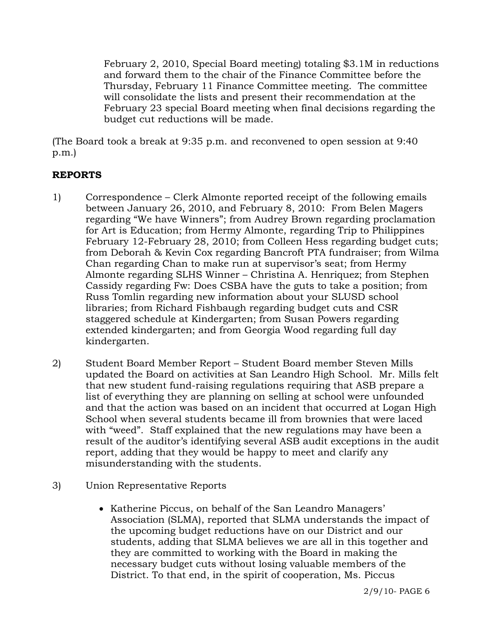February 2, 2010, Special Board meeting) totaling \$3.1M in reductions and forward them to the chair of the Finance Committee before the Thursday, February 11 Finance Committee meeting. The committee will consolidate the lists and present their recommendation at the February 23 special Board meeting when final decisions regarding the budget cut reductions will be made.

(The Board took a break at 9:35 p.m. and reconvened to open session at 9:40 p.m.)

# **REPORTS**

- 1) Correspondence Clerk Almonte reported receipt of the following emails between January 26, 2010, and February 8, 2010: From Belen Magers regarding "We have Winners"; from Audrey Brown regarding proclamation for Art is Education; from Hermy Almonte, regarding Trip to Philippines February 12-February 28, 2010; from Colleen Hess regarding budget cuts; from Deborah & Kevin Cox regarding Bancroft PTA fundraiser; from Wilma Chan regarding Chan to make run at supervisor's seat; from Hermy Almonte regarding SLHS Winner – Christina A. Henriquez; from Stephen Cassidy regarding Fw: Does CSBA have the guts to take a position; from Russ Tomlin regarding new information about your SLUSD school libraries; from Richard Fishbaugh regarding budget cuts and CSR staggered schedule at Kindergarten; from Susan Powers regarding extended kindergarten; and from Georgia Wood regarding full day kindergarten.
- 2) Student Board Member Report Student Board member Steven Mills updated the Board on activities at San Leandro High School. Mr. Mills felt that new student fund-raising regulations requiring that ASB prepare a list of everything they are planning on selling at school were unfounded and that the action was based on an incident that occurred at Logan High School when several students became ill from brownies that were laced with "weed". Staff explained that the new regulations may have been a result of the auditor's identifying several ASB audit exceptions in the audit report, adding that they would be happy to meet and clarify any misunderstanding with the students.
- 3) Union Representative Reports
	- Katherine Piccus, on behalf of the San Leandro Managers' Association (SLMA), reported that SLMA understands the impact of the upcoming budget reductions have on our District and our students, adding that SLMA believes we are all in this together and they are committed to working with the Board in making the necessary budget cuts without losing valuable members of the District. To that end, in the spirit of cooperation, Ms. Piccus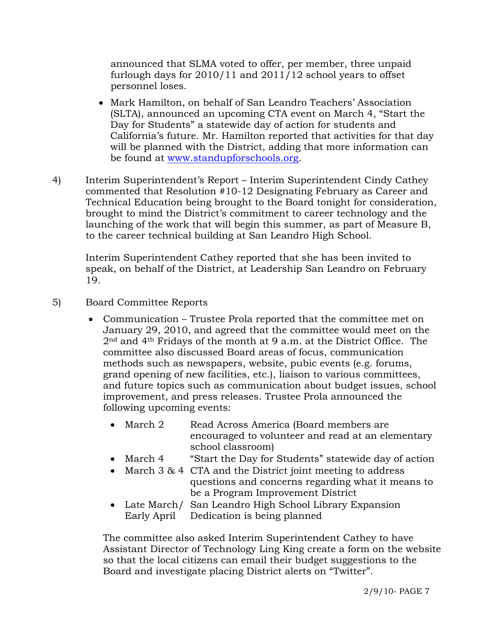announced that SLMA voted to offer, per member, three unpaid furlough days for 2010/11 and 2011/12 school years to offset personnel loses.

- Mark Hamilton, on behalf of San Leandro Teachers' Association (SLTA), announced an upcoming CTA event on March 4, "Start the Day for Students" a statewide day of action for students and California's future. Mr. Hamilton reported that activities for that day will be planned with the District, adding that more information can be found at [www.standupforschools.org](http://www.standupforschools.org/).
- 4) Interim Superintendent's Report Interim Superintendent Cindy Cathey commented that Resolution #10-12 Designating February as Career and Technical Education being brought to the Board tonight for consideration, brought to mind the District's commitment to career technology and the launching of the work that will begin this summer, as part of Measure B, to the career technical building at San Leandro High School.

Interim Superintendent Cathey reported that she has been invited to speak, on behalf of the District, at Leadership San Leandro on February 19.

- 5) Board Committee Reports
	- Communication Trustee Prola reported that the committee met on January 29, 2010, and agreed that the committee would meet on the 2nd and 4th Fridays of the month at 9 a.m. at the District Office. The committee also discussed Board areas of focus, communication methods such as newspapers, website, pubic events (e.g. forums, grand opening of new facilities, etc.), liaison to various committees, and future topics such as communication about budget issues, school improvement, and press releases. Trustee Prola announced the following upcoming events:
		- March 2 Read Across America (Board members are encouraged to volunteer and read at an elementary school classroom)
		- March 4 "Start the Day for Students" statewide day of action
		- March 3 & 4 CTA and the District joint meeting to address questions and concerns regarding what it means to be a Program Improvement District
		- Late March/ San Leandro High School Library Expansion Early April Dedication is being planned

The committee also asked Interim Superintendent Cathey to have Assistant Director of Technology Ling King create a form on the website so that the local citizens can email their budget suggestions to the Board and investigate placing District alerts on "Twitter".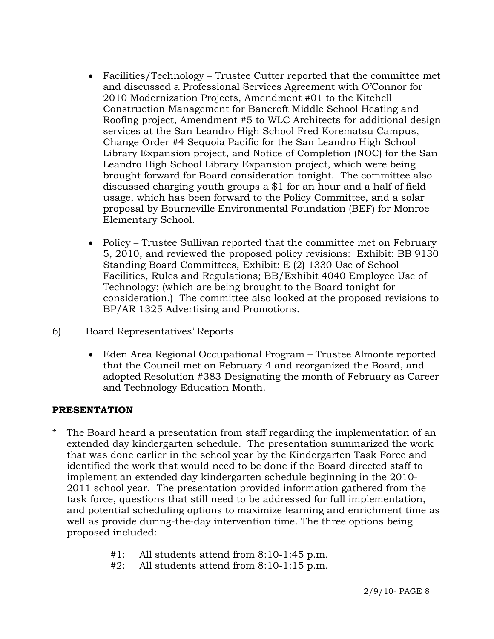- Facilities/Technology Trustee Cutter reported that the committee met and discussed a Professional Services Agreement with O'Connor for 2010 Modernization Projects, Amendment #01 to the Kitchell Construction Management for Bancroft Middle School Heating and Roofing project, Amendment #5 to WLC Architects for additional design services at the San Leandro High School Fred Korematsu Campus, Change Order #4 Sequoia Pacific for the San Leandro High School Library Expansion project, and Notice of Completion (NOC) for the San Leandro High School Library Expansion project, which were being brought forward for Board consideration tonight. The committee also discussed charging youth groups a \$1 for an hour and a half of field usage, which has been forward to the Policy Committee, and a solar proposal by Bourneville Environmental Foundation (BEF) for Monroe Elementary School.
- Policy Trustee Sullivan reported that the committee met on February 5, 2010, and reviewed the proposed policy revisions: Exhibit: BB 9130 Standing Board Committees, Exhibit: E (2) 1330 Use of School Facilities, Rules and Regulations; BB/Exhibit 4040 Employee Use of Technology; (which are being brought to the Board tonight for consideration.) The committee also looked at the proposed revisions to BP/AR 1325 Advertising and Promotions.
- 6) Board Representatives' Reports
	- Eden Area Regional Occupational Program Trustee Almonte reported that the Council met on February 4 and reorganized the Board, and adopted Resolution #383 Designating the month of February as Career and Technology Education Month.

# **PRESENTATION**

- \* The Board heard a presentation from staff regarding the implementation of an extended day kindergarten schedule. The presentation summarized the work that was done earlier in the school year by the Kindergarten Task Force and identified the work that would need to be done if the Board directed staff to implement an extended day kindergarten schedule beginning in the 2010- 2011 school year. The presentation provided information gathered from the task force, questions that still need to be addressed for full implementation, and potential scheduling options to maximize learning and enrichment time as well as provide during-the-day intervention time. The three options being proposed included:
	- #1: All students attend from 8:10-1:45 p.m.
	- #2: All students attend from 8:10-1:15 p.m.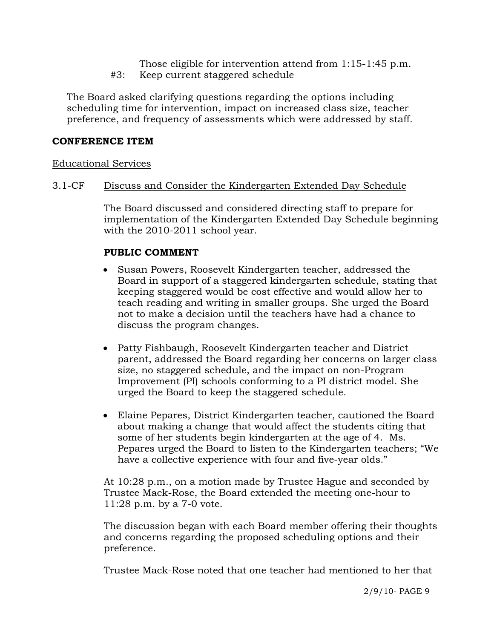- Those eligible for intervention attend from 1:15-1:45 p.m.
- #3: Keep current staggered schedule

 The Board asked clarifying questions regarding the options including scheduling time for intervention, impact on increased class size, teacher preference, and frequency of assessments which were addressed by staff.

## **CONFERENCE ITEM**

## Educational Services

## 3.1-CF Discuss and Consider the Kindergarten Extended Day Schedule

The Board discussed and considered directing staff to prepare for implementation of the Kindergarten Extended Day Schedule beginning with the 2010-2011 school year.

# **PUBLIC COMMENT**

- Susan Powers, Roosevelt Kindergarten teacher, addressed the Board in support of a staggered kindergarten schedule, stating that keeping staggered would be cost effective and would allow her to teach reading and writing in smaller groups. She urged the Board not to make a decision until the teachers have had a chance to discuss the program changes.
- Patty Fishbaugh, Roosevelt Kindergarten teacher and District parent, addressed the Board regarding her concerns on larger class size, no staggered schedule, and the impact on non-Program Improvement (PI) schools conforming to a PI district model. She urged the Board to keep the staggered schedule.
- Elaine Pepares, District Kindergarten teacher, cautioned the Board about making a change that would affect the students citing that some of her students begin kindergarten at the age of 4. Ms. Pepares urged the Board to listen to the Kindergarten teachers; "We have a collective experience with four and five-year olds."

At 10:28 p.m., on a motion made by Trustee Hague and seconded by Trustee Mack-Rose, the Board extended the meeting one-hour to 11:28 p.m. by a 7-0 vote.

The discussion began with each Board member offering their thoughts and concerns regarding the proposed scheduling options and their preference.

Trustee Mack-Rose noted that one teacher had mentioned to her that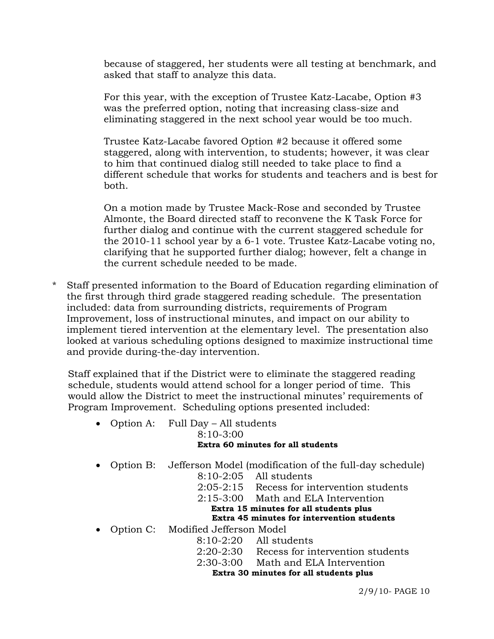because of staggered, her students were all testing at benchmark, and asked that staff to analyze this data.

For this year, with the exception of Trustee Katz-Lacabe, Option #3 was the preferred option, noting that increasing class-size and eliminating staggered in the next school year would be too much.

Trustee Katz-Lacabe favored Option #2 because it offered some staggered, along with intervention, to students; however, it was clear to him that continued dialog still needed to take place to find a different schedule that works for students and teachers and is best for both.

On a motion made by Trustee Mack-Rose and seconded by Trustee Almonte, the Board directed staff to reconvene the K Task Force for further dialog and continue with the current staggered schedule for the 2010-11 school year by a 6-1 vote. Trustee Katz-Lacabe voting no, clarifying that he supported further dialog; however, felt a change in the current schedule needed to be made.

\* Staff presented information to the Board of Education regarding elimination of the first through third grade staggered reading schedule. The presentation included: data from surrounding districts, requirements of Program Improvement, loss of instructional minutes, and impact on our ability to implement tiered intervention at the elementary level. The presentation also looked at various scheduling options designed to maximize instructional time and provide during-the-day intervention.

 Staff explained that if the District were to eliminate the staggered reading schedule, students would attend school for a longer period of time. This would allow the District to meet the instructional minutes' requirements of Program Improvement. Scheduling options presented included:

- Option A: Full Day All students 8:10-3:00 **Extra 60 minutes for all students**
- Option B: Jefferson Model (modification of the full-day schedule)
	- 8:10-2:05 All students
	- 2:05-2:15 Recess for intervention students
	- 2:15-3:00 Math and ELA Intervention **Extra 15 minutes for all students plus Extra 45 minutes for intervention students**
- Option C: Modified Jefferson Model
	- - 8:10-2:20 All students
		- 2:20-2:30 Recess for intervention students
		- 2:30-3:00 Math and ELA Intervention

**Extra 30 minutes for all students plus**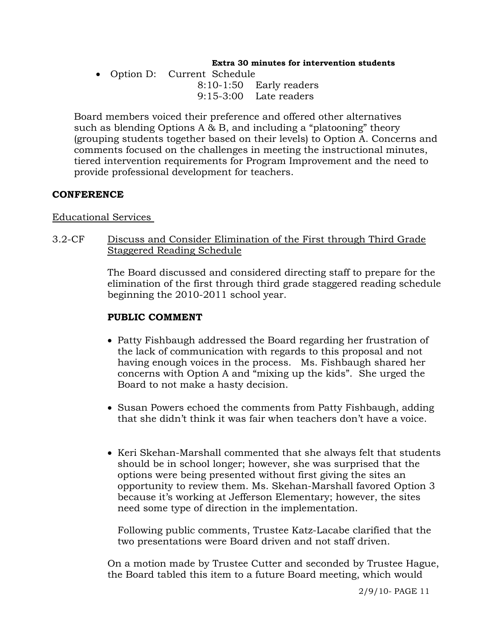#### **Extra 30 minutes for intervention students**

• Option D: Current Schedule 8:10-1:50 Early readers 9:15-3:00 Late readers

 Board members voiced their preference and offered other alternatives such as blending Options A & B, and including a "platooning" theory (grouping students together based on their levels) to Option A. Concerns and comments focused on the challenges in meeting the instructional minutes, tiered intervention requirements for Program Improvement and the need to provide professional development for teachers.

### **CONFERENCE**

### Educational Services

3.2-CF Discuss and Consider Elimination of the First through Third Grade Staggered Reading Schedule

> The Board discussed and considered directing staff to prepare for the elimination of the first through third grade staggered reading schedule beginning the 2010-2011 school year.

## **PUBLIC COMMENT**

- Patty Fishbaugh addressed the Board regarding her frustration of the lack of communication with regards to this proposal and not having enough voices in the process. Ms. Fishbaugh shared her concerns with Option A and "mixing up the kids". She urged the Board to not make a hasty decision.
- Susan Powers echoed the comments from Patty Fishbaugh, adding that she didn't think it was fair when teachers don't have a voice.
- Keri Skehan-Marshall commented that she always felt that students should be in school longer; however, she was surprised that the options were being presented without first giving the sites an opportunity to review them. Ms. Skehan-Marshall favored Option 3 because it's working at Jefferson Elementary; however, the sites need some type of direction in the implementation.

 Following public comments, Trustee Katz-Lacabe clarified that the two presentations were Board driven and not staff driven.

On a motion made by Trustee Cutter and seconded by Trustee Hague, the Board tabled this item to a future Board meeting, which would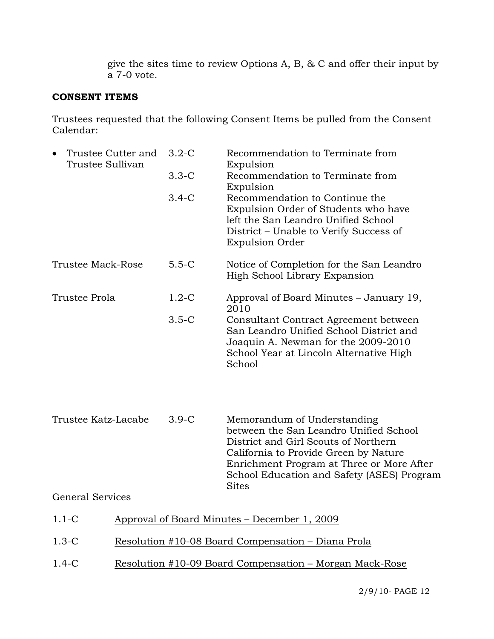give the sites time to review Options A, B, & C and offer their input by a 7-0 vote.

## **CONSENT ITEMS**

Trustees requested that the following Consent Items be pulled from the Consent Calendar:

| Trustee Sullivan         | Trustee Cutter and                                      | $3.2-C$ | Recommendation to Terminate from<br>Expulsion                                                                                                                                                                                                                     |
|--------------------------|---------------------------------------------------------|---------|-------------------------------------------------------------------------------------------------------------------------------------------------------------------------------------------------------------------------------------------------------------------|
|                          |                                                         | $3.3-C$ | Recommendation to Terminate from<br>Expulsion                                                                                                                                                                                                                     |
|                          |                                                         | $3.4-C$ | Recommendation to Continue the<br>Expulsion Order of Students who have<br>left the San Leandro Unified School<br>District – Unable to Verify Success of<br><b>Expulsion Order</b>                                                                                 |
| <b>Trustee Mack-Rose</b> |                                                         | $5.5-C$ | Notice of Completion for the San Leandro<br>High School Library Expansion                                                                                                                                                                                         |
| Trustee Prola            |                                                         | $1.2-C$ | Approval of Board Minutes – January 19,<br>2010                                                                                                                                                                                                                   |
|                          |                                                         | $3.5-C$ | Consultant Contract Agreement between<br>San Leandro Unified School District and<br>Joaquin A. Newman for the 2009-2010<br>School Year at Lincoln Alternative High<br>School                                                                                      |
| Trustee Katz-Lacabe      |                                                         | $3.9-C$ | Memorandum of Understanding<br>between the San Leandro Unified School<br>District and Girl Scouts of Northern<br>California to Provide Green by Nature<br>Enrichment Program at Three or More After<br>School Education and Safety (ASES) Program<br><b>Sites</b> |
| <b>General Services</b>  |                                                         |         |                                                                                                                                                                                                                                                                   |
| $1.1-C$                  | Approval of Board Minutes – December 1, 2009            |         |                                                                                                                                                                                                                                                                   |
| $1.3-C$                  | Resolution #10-08 Board Compensation – Diana Prola      |         |                                                                                                                                                                                                                                                                   |
| $1.4-C$                  | Resolution #10-09 Board Compensation - Morgan Mack-Rose |         |                                                                                                                                                                                                                                                                   |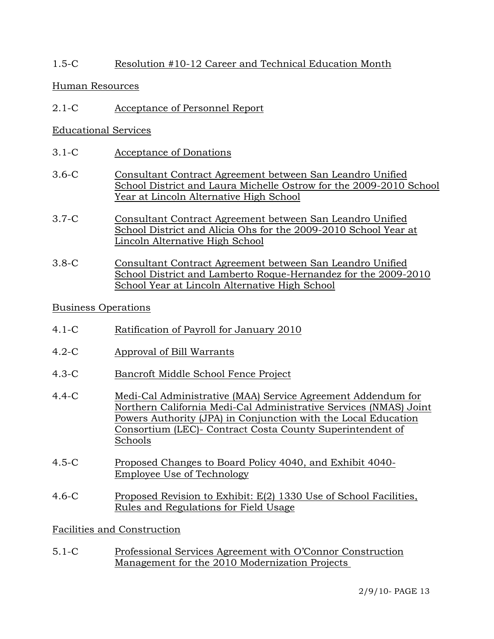## 1.5-C Resolution #10-12 Career and Technical Education Month

### Human Resources

2.1-C Acceptance of Personnel Report

### Educational Services

- 3.1-C Acceptance of Donations
- 3.6-C Consultant Contract Agreement between San Leandro Unified School District and Laura Michelle Ostrow for the 2009-2010 School Year at Lincoln Alternative High School
- 3.7-C Consultant Contract Agreement between San Leandro Unified School District and Alicia Ohs for the 2009-2010 School Year at Lincoln Alternative High School
- 3.8-C Consultant Contract Agreement between San Leandro Unified School District and Lamberto Roque-Hernandez for the 2009-2010 School Year at Lincoln Alternative High School

### Business Operations

- 4.1-C Ratification of Payroll for January 2010
- 4.2-C Approval of Bill Warrants
- 4.3-C Bancroft Middle School Fence Project
- 4.4-C Medi-Cal Administrative (MAA) Service Agreement Addendum for Northern California Medi-Cal Administrative Services (NMAS) Joint Powers Authority (JPA) in Conjunction with the Local Education Consortium (LEC)- Contract Costa County Superintendent of Schools
- 4.5-C Proposed Changes to Board Policy 4040, and Exhibit 4040- Employee Use of Technology
- 4.6-C Proposed Revision to Exhibit: E(2) 1330 Use of School Facilities, Rules and Regulations for Field Usage

## Facilities and Construction

5.1-C Professional Services Agreement with O'Connor Construction Management for the 2010 Modernization Projects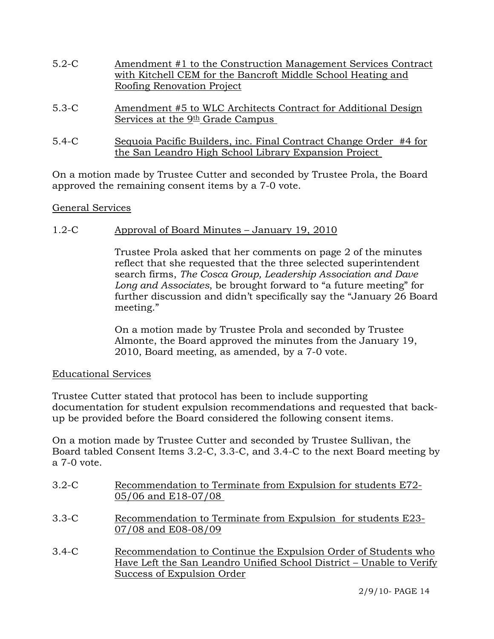- 5.2-C Amendment #1 to the Construction Management Services Contract with Kitchell CEM for the Bancroft Middle School Heating and Roofing Renovation Project
- 5.3-C Amendment #5 to WLC Architects Contract for Additional Design Services at the 9<sup>th</sup> Grade Campus
- 5.4-C Sequoia Pacific Builders, inc. Final Contract Change Order #4 for the San Leandro High School Library Expansion Project

On a motion made by Trustee Cutter and seconded by Trustee Prola, the Board approved the remaining consent items by a 7-0 vote.

## General Services

## 1.2-C Approval of Board Minutes – January 19, 2010

Trustee Prola asked that her comments on page 2 of the minutes reflect that she requested that the three selected superintendent search firms, *The Cosca Group, Leadership Association and Dave Long and Associates*, be brought forward to "a future meeting" for further discussion and didn't specifically say the "January 26 Board meeting."

On a motion made by Trustee Prola and seconded by Trustee Almonte, the Board approved the minutes from the January 19, 2010, Board meeting, as amended, by a 7-0 vote.

## Educational Services

Trustee Cutter stated that protocol has been to include supporting documentation for student expulsion recommendations and requested that backup be provided before the Board considered the following consent items.

On a motion made by Trustee Cutter and seconded by Trustee Sullivan, the Board tabled Consent Items 3.2-C, 3.3-C, and 3.4-C to the next Board meeting by a 7-0 vote.

- 3.2-C Recommendation to Terminate from Expulsion for students E72- 05/06 and E18-07/08
- 3.3-C Recommendation to Terminate from Expulsion for students E23- 07/08 and E08-08/09
- 3.4-C Recommendation to Continue the Expulsion Order of Students who Have Left the San Leandro Unified School District – Unable to Verify Success of Expulsion Order

2/9/10- PAGE 14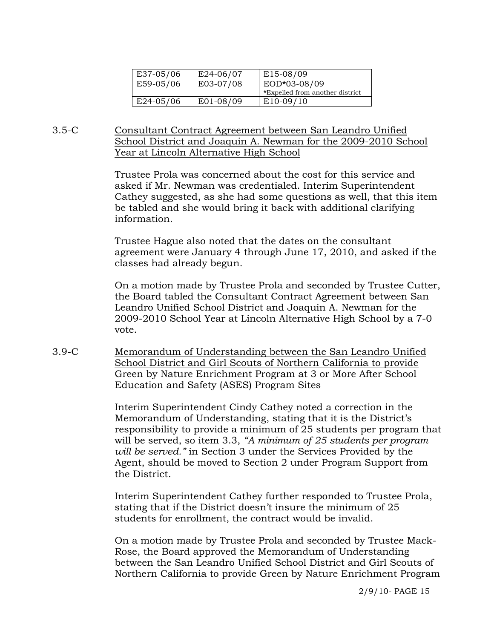| E37-05/06 | E24-06/07 | E <sub>15</sub> -08/09          |
|-----------|-----------|---------------------------------|
| E59-05/06 | E03-07/08 | EOD*03-08/09                    |
|           |           | *Expelled from another district |
| E24-05/06 | E01-08/09 | $E10-09/10$                     |

### 3.5-C Consultant Contract Agreement between San Leandro Unified School District and Joaquin A. Newman for the 2009-2010 School Year at Lincoln Alternative High School

Trustee Prola was concerned about the cost for this service and asked if Mr. Newman was credentialed. Interim Superintendent Cathey suggested, as she had some questions as well, that this item be tabled and she would bring it back with additional clarifying information.

Trustee Hague also noted that the dates on the consultant agreement were January 4 through June 17, 2010, and asked if the classes had already begun.

On a motion made by Trustee Prola and seconded by Trustee Cutter, the Board tabled the Consultant Contract Agreement between San Leandro Unified School District and Joaquin A. Newman for the 2009-2010 School Year at Lincoln Alternative High School by a 7-0 vote.

3.9-C Memorandum of Understanding between the San Leandro Unified School District and Girl Scouts of Northern California to provide Green by Nature Enrichment Program at 3 or More After School Education and Safety (ASES) Program Sites

> Interim Superintendent Cindy Cathey noted a correction in the Memorandum of Understanding, stating that it is the District's responsibility to provide a minimum of 25 students per program that will be served, so item 3.3, *"A minimum of 25 students per program will be served."* in Section 3 under the Services Provided by the Agent, should be moved to Section 2 under Program Support from the District.

Interim Superintendent Cathey further responded to Trustee Prola, stating that if the District doesn't insure the minimum of 25 students for enrollment, the contract would be invalid.

On a motion made by Trustee Prola and seconded by Trustee Mack-Rose, the Board approved the Memorandum of Understanding between the San Leandro Unified School District and Girl Scouts of Northern California to provide Green by Nature Enrichment Program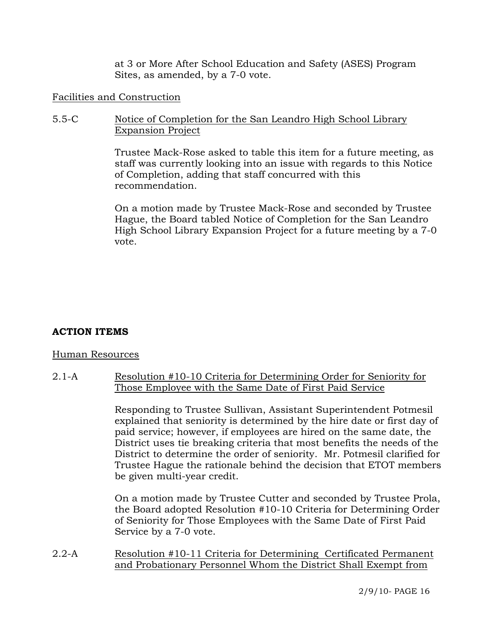at 3 or More After School Education and Safety (ASES) Program Sites, as amended, by a 7-0 vote.

### Facilities and Construction

### 5.5-C Notice of Completion for the San Leandro High School Library Expansion Project

Trustee Mack-Rose asked to table this item for a future meeting, as staff was currently looking into an issue with regards to this Notice of Completion, adding that staff concurred with this recommendation.

On a motion made by Trustee Mack-Rose and seconded by Trustee Hague, the Board tabled Notice of Completion for the San Leandro High School Library Expansion Project for a future meeting by a 7-0 vote.

## **ACTION ITEMS**

#### Human Resources

2.1-A Resolution #10-10 Criteria for Determining Order for Seniority for Those Employee with the Same Date of First Paid Service

> Responding to Trustee Sullivan, Assistant Superintendent Potmesil explained that seniority is determined by the hire date or first day of paid service; however, if employees are hired on the same date, the District uses tie breaking criteria that most benefits the needs of the District to determine the order of seniority. Mr. Potmesil clarified for Trustee Hague the rationale behind the decision that ETOT members be given multi-year credit.

> On a motion made by Trustee Cutter and seconded by Trustee Prola, the Board adopted Resolution #10-10 Criteria for Determining Order of Seniority for Those Employees with the Same Date of First Paid Service by a 7-0 vote.

2.2-A Resolution #10-11 Criteria for Determining Certificated Permanent and Probationary Personnel Whom the District Shall Exempt from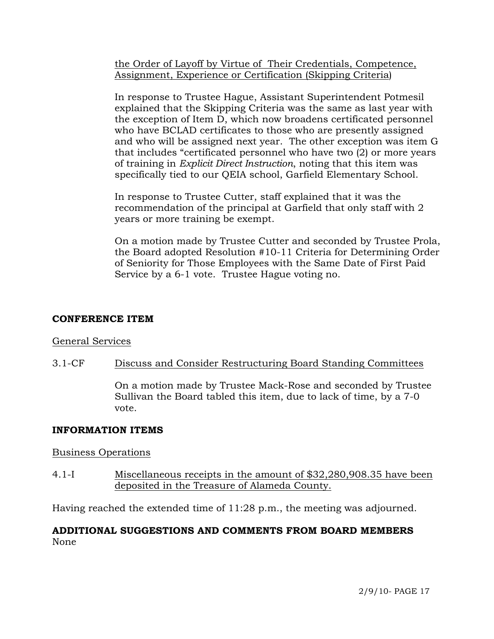the Order of Layoff by Virtue of Their Credentials, Competence, Assignment, Experience or Certification (Skipping Criteria)

In response to Trustee Hague, Assistant Superintendent Potmesil explained that the Skipping Criteria was the same as last year with the exception of Item D, which now broadens certificated personnel who have BCLAD certificates to those who are presently assigned and who will be assigned next year. The other exception was item G that includes "certificated personnel who have two (2) or more years of training in *Explicit Direct Instruction*, noting that this item was specifically tied to our QEIA school, Garfield Elementary School.

In response to Trustee Cutter, staff explained that it was the recommendation of the principal at Garfield that only staff with 2 years or more training be exempt.

On a motion made by Trustee Cutter and seconded by Trustee Prola, the Board adopted Resolution #10-11 Criteria for Determining Order of Seniority for Those Employees with the Same Date of First Paid Service by a 6-1 vote. Trustee Hague voting no.

### **CONFERENCE ITEM**

## General Services

## 3.1-CF Discuss and Consider Restructuring Board Standing Committees

On a motion made by Trustee Mack-Rose and seconded by Trustee Sullivan the Board tabled this item, due to lack of time, by a 7-0 vote.

## **INFORMATION ITEMS**

## Business Operations

4.1-I Miscellaneous receipts in the amount of \$32,280,908.35 have been deposited in the Treasure of Alameda County.

Having reached the extended time of 11:28 p.m., the meeting was adjourned.

## **ADDITIONAL SUGGESTIONS AND COMMENTS FROM BOARD MEMBERS**  None